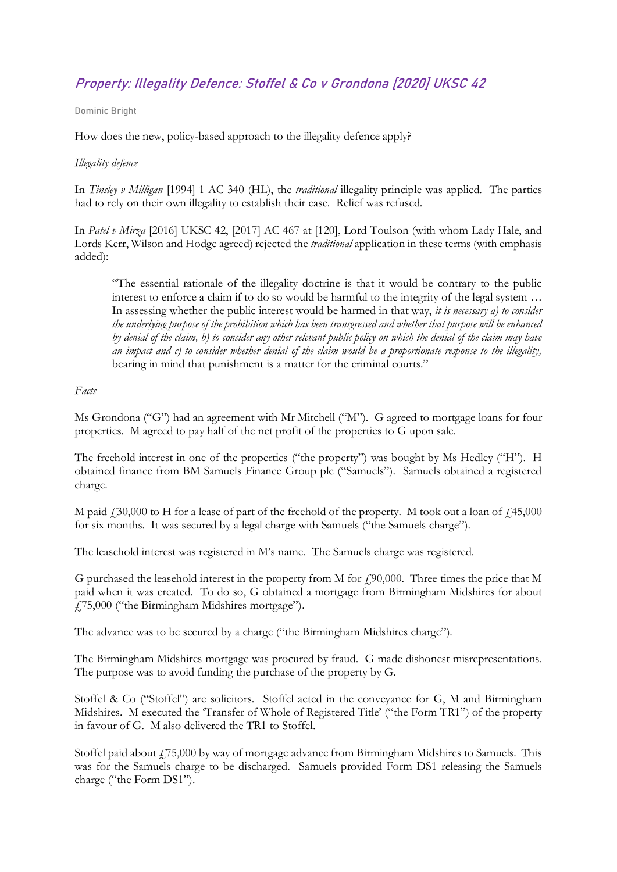# Property: Illegality Defence: Stoffel & Co v Grondona [2020] UKSC 42

#### Dominic Bright

How does the new, policy-based approach to the illegality defence apply?

## *Illegality defence*

In *Tinsley v Milligan* [1994] 1 AC 340 (HL), the *traditional* illegality principle was applied. The parties had to rely on their own illegality to establish their case. Relief was refused.

In *Patel v Mirza* [2016] UKSC 42, [2017] AC 467 at [120], Lord Toulson (with whom Lady Hale, and Lords Kerr, Wilson and Hodge agreed) rejected the *traditional* application in these terms (with emphasis added):

"The essential rationale of the illegality doctrine is that it would be contrary to the public interest to enforce a claim if to do so would be harmful to the integrity of the legal system … In assessing whether the public interest would be harmed in that way, *it is necessary a) to consider the underlying purpose of the prohibition which has been transgressed and whether that purpose will be enhanced by denial of the claim, b) to consider any other relevant public policy on which the denial of the claim may have an impact and c) to consider whether denial of the claim would be a proportionate response to the illegality,*  bearing in mind that punishment is a matter for the criminal courts."

## *Facts*

Ms Grondona ("G") had an agreement with Mr Mitchell ("M"). G agreed to mortgage loans for four properties. M agreed to pay half of the net profit of the properties to G upon sale.

The freehold interest in one of the properties ("the property") was bought by Ms Hedley ("H"). H obtained finance from BM Samuels Finance Group plc ("Samuels"). Samuels obtained a registered charge.

M paid  $\dot{\mu}$  130,000 to H for a lease of part of the freehold of the property. M took out a loan of  $\dot{\mu}$  15,000 for six months. It was secured by a legal charge with Samuels ("the Samuels charge").

The leasehold interest was registered in M's name. The Samuels charge was registered.

G purchased the leasehold interest in the property from M for  $f$ 90,000. Three times the price that M paid when it was created. To do so, G obtained a mortgage from Birmingham Midshires for about £75,000 ("the Birmingham Midshires mortgage").

The advance was to be secured by a charge ("the Birmingham Midshires charge").

The Birmingham Midshires mortgage was procured by fraud. G made dishonest misrepresentations. The purpose was to avoid funding the purchase of the property by G.

Stoffel & Co ("Stoffel") are solicitors. Stoffel acted in the conveyance for G, M and Birmingham Midshires. M executed the 'Transfer of Whole of Registered Title' ("the Form TR1") of the property in favour of G. M also delivered the TR1 to Stoffel.

Stoffel paid about £75,000 by way of mortgage advance from Birmingham Midshires to Samuels. This was for the Samuels charge to be discharged. Samuels provided Form DS1 releasing the Samuels charge ("the Form DS1").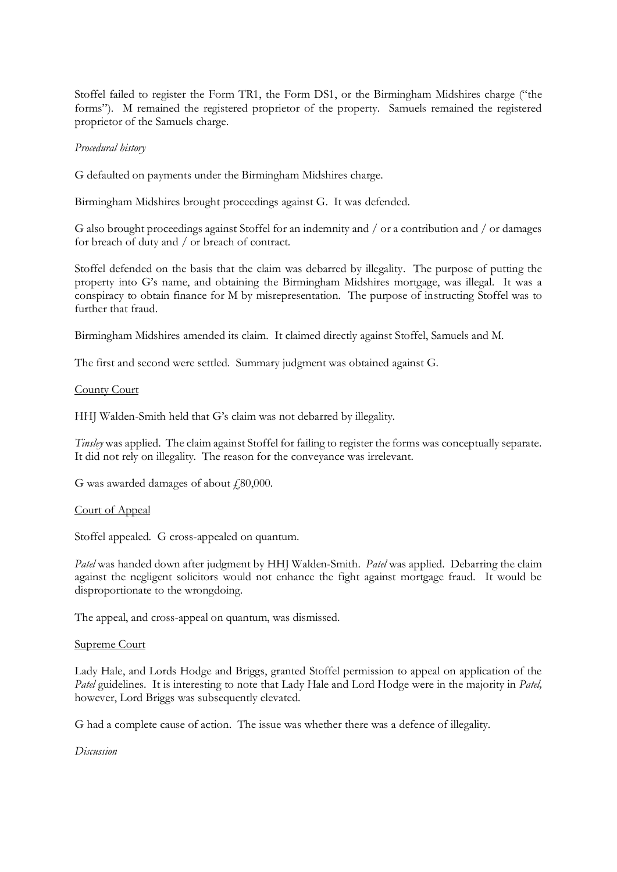Stoffel failed to register the Form TR1, the Form DS1, or the Birmingham Midshires charge ("the forms"). M remained the registered proprietor of the property. Samuels remained the registered proprietor of the Samuels charge.

#### *Procedural history*

G defaulted on payments under the Birmingham Midshires charge.

Birmingham Midshires brought proceedings against G. It was defended.

G also brought proceedings against Stoffel for an indemnity and / or a contribution and / or damages for breach of duty and / or breach of contract.

Stoffel defended on the basis that the claim was debarred by illegality. The purpose of putting the property into G's name, and obtaining the Birmingham Midshires mortgage, was illegal. It was a conspiracy to obtain finance for M by misrepresentation. The purpose of instructing Stoffel was to further that fraud.

Birmingham Midshires amended its claim. It claimed directly against Stoffel, Samuels and M.

The first and second were settled. Summary judgment was obtained against G.

## County Court

HHJ Walden-Smith held that G's claim was not debarred by illegality.

*Tinsley* was applied. The claim against Stoffel for failing to register the forms was conceptually separate. It did not rely on illegality. The reason for the conveyance was irrelevant.

G was awarded damages of about  $\text{\emph{f}}80,\!000$ .

## Court of Appeal

Stoffel appealed. G cross-appealed on quantum.

*Patel* was handed down after judgment by HHJ Walden-Smith. *Patel* was applied. Debarring the claim against the negligent solicitors would not enhance the fight against mortgage fraud. It would be disproportionate to the wrongdoing.

The appeal, and cross-appeal on quantum, was dismissed.

## Supreme Court

Lady Hale, and Lords Hodge and Briggs, granted Stoffel permission to appeal on application of the *Patel* guidelines. It is interesting to note that Lady Hale and Lord Hodge were in the majority in *Patel*, however, Lord Briggs was subsequently elevated.

G had a complete cause of action. The issue was whether there was a defence of illegality.

*Discussion*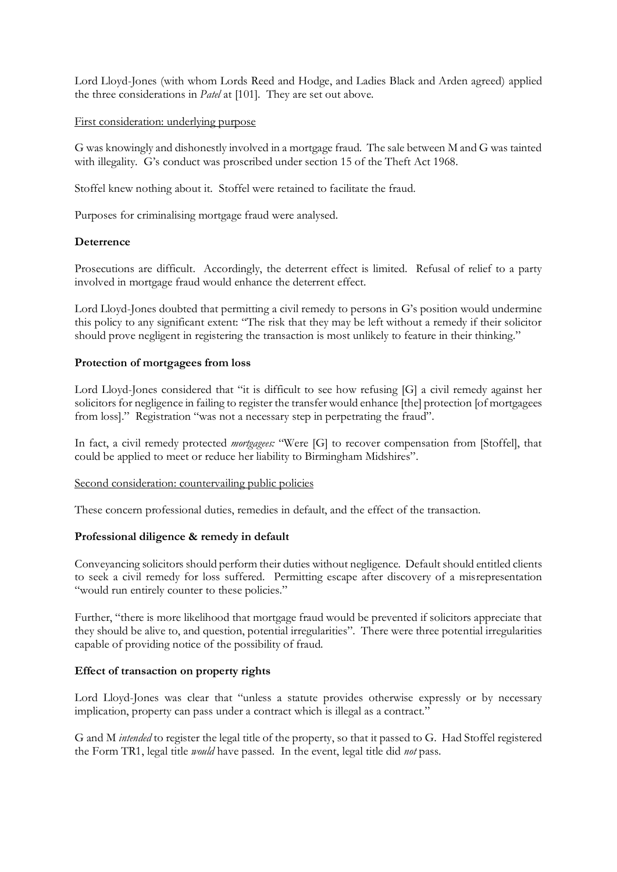Lord Lloyd-Jones (with whom Lords Reed and Hodge, and Ladies Black and Arden agreed) applied the three considerations in *Patel* at [101]. They are set out above.

## First consideration: underlying purpose

G was knowingly and dishonestly involved in a mortgage fraud. The sale between M and G was tainted with illegality. G's conduct was proscribed under section 15 of the Theft Act 1968.

Stoffel knew nothing about it. Stoffel were retained to facilitate the fraud.

Purposes for criminalising mortgage fraud were analysed.

## **Deterrence**

Prosecutions are difficult. Accordingly, the deterrent effect is limited. Refusal of relief to a party involved in mortgage fraud would enhance the deterrent effect.

Lord Lloyd-Jones doubted that permitting a civil remedy to persons in G's position would undermine this policy to any significant extent: "The risk that they may be left without a remedy if their solicitor should prove negligent in registering the transaction is most unlikely to feature in their thinking."

## **Protection of mortgagees from loss**

Lord Lloyd-Jones considered that "it is difficult to see how refusing [G] a civil remedy against her solicitors for negligence in failing to register the transfer would enhance [the] protection [of mortgagees from loss]." Registration "was not a necessary step in perpetrating the fraud".

In fact, a civil remedy protected *mortgagees:* "Were [G] to recover compensation from [Stoffel], that could be applied to meet or reduce her liability to Birmingham Midshires".

## Second consideration: countervailing public policies

These concern professional duties, remedies in default, and the effect of the transaction.

## **Professional diligence & remedy in default**

Conveyancing solicitors should perform their duties without negligence. Default should entitled clients to seek a civil remedy for loss suffered. Permitting escape after discovery of a misrepresentation "would run entirely counter to these policies."

Further, "there is more likelihood that mortgage fraud would be prevented if solicitors appreciate that they should be alive to, and question, potential irregularities". There were three potential irregularities capable of providing notice of the possibility of fraud.

# **Effect of transaction on property rights**

Lord Lloyd-Jones was clear that "unless a statute provides otherwise expressly or by necessary implication, property can pass under a contract which is illegal as a contract."

G and M *intended* to register the legal title of the property, so that it passed to G. Had Stoffel registered the Form TR1, legal title *would* have passed. In the event, legal title did *not* pass.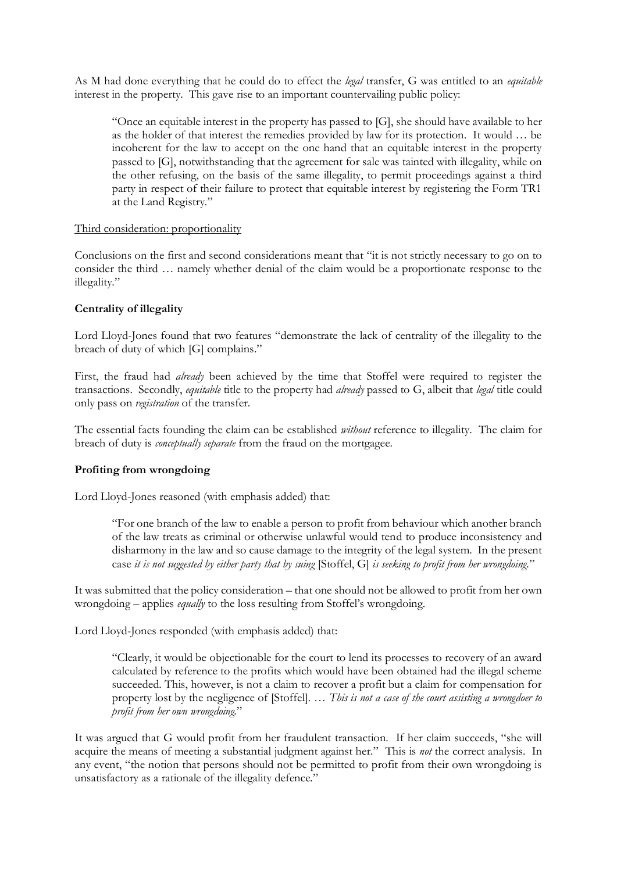As M had done everything that he could do to effect the *legal* transfer, G was entitled to an *equitable*  interest in the property. This gave rise to an important countervailing public policy:

"Once an equitable interest in the property has passed to [G], she should have available to her as the holder of that interest the remedies provided by law for its protection. It would … be incoherent for the law to accept on the one hand that an equitable interest in the property passed to [G], notwithstanding that the agreement for sale was tainted with illegality, while on the other refusing, on the basis of the same illegality, to permit proceedings against a third party in respect of their failure to protect that equitable interest by registering the Form TR1 at the Land Registry."

## Third consideration: proportionality

Conclusions on the first and second considerations meant that "it is not strictly necessary to go on to consider the third … namely whether denial of the claim would be a proportionate response to the illegality."

# **Centrality of illegality**

Lord Lloyd-Jones found that two features "demonstrate the lack of centrality of the illegality to the breach of duty of which [G] complains."

First, the fraud had *already* been achieved by the time that Stoffel were required to register the transactions. Secondly, *equitable* title to the property had *already* passed to G, albeit that *legal* title could only pass on *registration* of the transfer.

The essential facts founding the claim can be established *without* reference to illegality. The claim for breach of duty is *conceptually separate* from the fraud on the mortgagee.

# **Profiting from wrongdoing**

Lord Lloyd-Jones reasoned (with emphasis added) that:

"For one branch of the law to enable a person to profit from behaviour which another branch of the law treats as criminal or otherwise unlawful would tend to produce inconsistency and disharmony in the law and so cause damage to the integrity of the legal system. In the present case *it is not suggested by either party that by suing* [Stoffel, G] *is seeking to profit from her wrongdoing.*"

It was submitted that the policy consideration – that one should not be allowed to profit from her own wrongdoing – applies *equally* to the loss resulting from Stoffel's wrongdoing.

Lord Lloyd-Jones responded (with emphasis added) that:

"Clearly, it would be objectionable for the court to lend its processes to recovery of an award calculated by reference to the profits which would have been obtained had the illegal scheme succeeded. This, however, is not a claim to recover a profit but a claim for compensation for property lost by the negligence of [Stoffel]. … *This is not a case of the court assisting a wrongdoer to profit from her own wrongdoing.*"

It was argued that G would profit from her fraudulent transaction. If her claim succeeds, "she will acquire the means of meeting a substantial judgment against her." This is *not* the correct analysis. In any event, "the notion that persons should not be permitted to profit from their own wrongdoing is unsatisfactory as a rationale of the illegality defence."